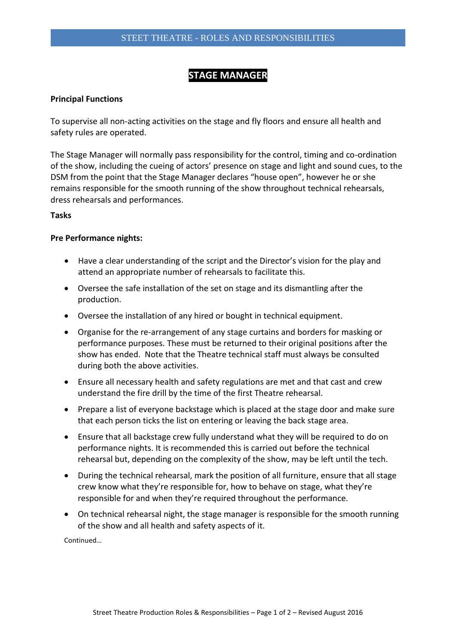# **STAGE MANAGER**

## **Principal Functions**

To supervise all non-acting activities on the stage and fly floors and ensure all health and safety rules are operated.

The Stage Manager will normally pass responsibility for the control, timing and co-ordination of the show, including the cueing of actors' presence on stage and light and sound cues, to the DSM from the point that the Stage Manager declares "house open", however he or she remains responsible for the smooth running of the show throughout technical rehearsals, dress rehearsals and performances.

#### **Tasks**

#### **Pre Performance nights:**

- Have a clear understanding of the script and the Director's vision for the play and attend an appropriate number of rehearsals to facilitate this.
- Oversee the safe installation of the set on stage and its dismantling after the production.
- Oversee the installation of any hired or bought in technical equipment.
- Organise for the re-arrangement of any stage curtains and borders for masking or performance purposes. These must be returned to their original positions after the show has ended. Note that the Theatre technical staff must always be consulted during both the above activities.
- Ensure all necessary health and safety regulations are met and that cast and crew understand the fire drill by the time of the first Theatre rehearsal.
- Prepare a list of everyone backstage which is placed at the stage door and make sure that each person ticks the list on entering or leaving the back stage area.
- Ensure that all backstage crew fully understand what they will be required to do on performance nights. It is recommended this is carried out before the technical rehearsal but, depending on the complexity of the show, may be left until the tech.
- During the technical rehearsal, mark the position of all furniture, ensure that all stage crew know what they're responsible for, how to behave on stage, what they're responsible for and when they're required throughout the performance.
- On technical rehearsal night, the stage manager is responsible for the smooth running of the show and all health and safety aspects of it.

Continued…